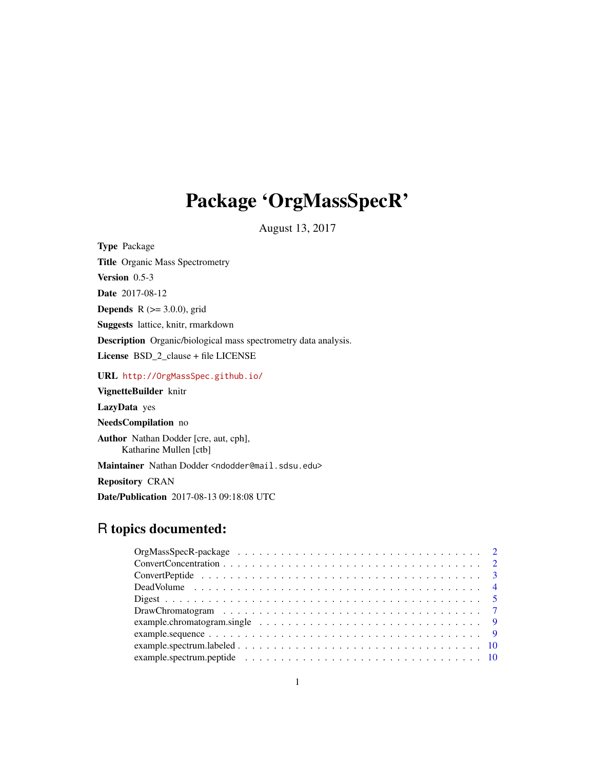# Package 'OrgMassSpecR'

August 13, 2017

<span id="page-0-0"></span>

| <b>Type</b> Package                                                      |
|--------------------------------------------------------------------------|
| <b>Title Organic Mass Spectrometry</b>                                   |
| <b>Version</b> $0.5-3$                                                   |
| <b>Date</b> 2017-08-12                                                   |
| <b>Depends</b> $R$ ( $>=$ 3.0.0), grid                                   |
| <b>Suggests</b> lattice, knitr, rmarkdown                                |
| <b>Description</b> Organic/biological mass spectrometry data analysis.   |
| License BSD_2_clause + file LICENSE                                      |
| URL http://OrgMassSpec.github.io/                                        |
| VignetteBuilder knitr                                                    |
| LazyData yes                                                             |
| <b>NeedsCompilation</b> no                                               |
| <b>Author</b> Nathan Dodder [cre, aut, cph],<br>Katharine Mullen [ctb]   |
| Maintainer Nathan Dodder <ndodder@mail.sdsu.edu></ndodder@mail.sdsu.edu> |
| <b>Repository CRAN</b>                                                   |
| <b>Date/Publication</b> 2017-08-13 09:18:08 UTC                          |

## R topics documented:

| example.chromatogram.single $\ldots \ldots \ldots \ldots \ldots \ldots \ldots \ldots \ldots \ldots$ |
|-----------------------------------------------------------------------------------------------------|
|                                                                                                     |
|                                                                                                     |
|                                                                                                     |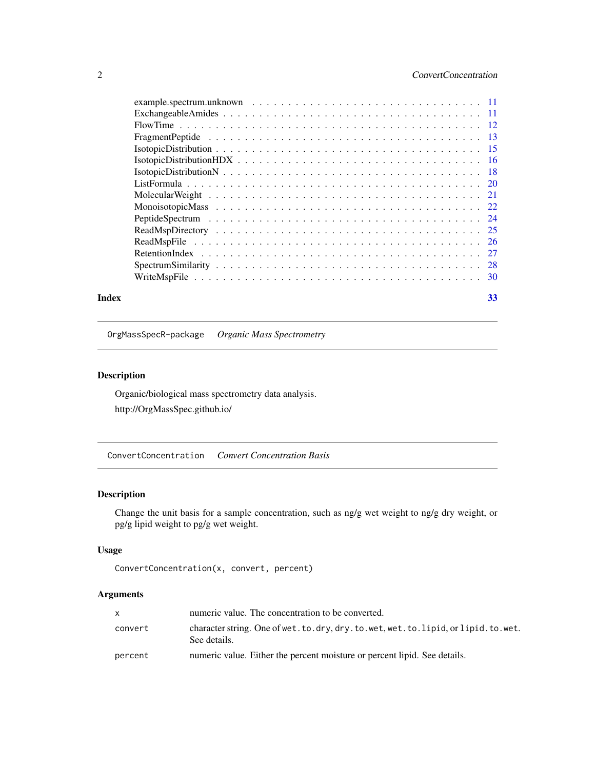## <span id="page-1-0"></span>2 ConvertConcentration

#### **Index** [33](#page-32-0)

OrgMassSpecR-package *Organic Mass Spectrometry*

## Description

Organic/biological mass spectrometry data analysis. http://OrgMassSpec.github.io/

ConvertConcentration *Convert Concentration Basis*

## Description

Change the unit basis for a sample concentration, such as ng/g wet weight to ng/g dry weight, or pg/g lipid weight to pg/g wet weight.

## Usage

```
ConvertConcentration(x, convert, percent)
```

|         | numeric value. The concentration to be converted.                                               |
|---------|-------------------------------------------------------------------------------------------------|
| convert | character string. One of wet.to.dry, dry.to.wet, wet.to.lipid, or lipid.to.wet.<br>See details. |
| percent | numeric value. Either the percent moisture or percent lipid. See details.                       |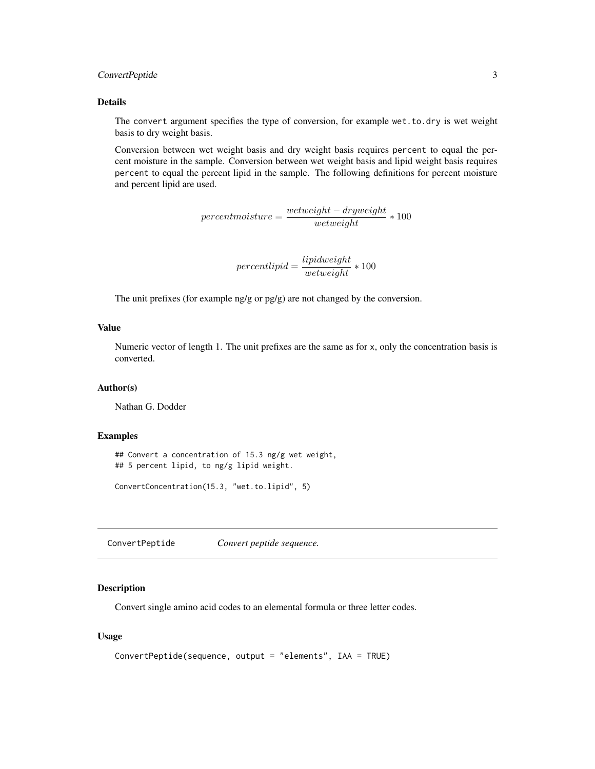## <span id="page-2-0"></span>ConvertPeptide 3

#### Details

The convert argument specifies the type of conversion, for example wet.to.dry is wet weight basis to dry weight basis.

Conversion between wet weight basis and dry weight basis requires percent to equal the percent moisture in the sample. Conversion between wet weight basis and lipid weight basis requires percent to equal the percent lipid in the sample. The following definitions for percent moisture and percent lipid are used.

 $percent moisture = \frac{wetweight - dryweight}{wetweight} * 100$ 

$$
percent lipid = \frac{lipidweight}{wetweight} * 100
$$

The unit prefixes (for example ng/g or pg/g) are not changed by the conversion.

#### Value

Numeric vector of length 1. The unit prefixes are the same as for x, only the concentration basis is converted.

#### Author(s)

Nathan G. Dodder

#### Examples

## Convert a concentration of 15.3 ng/g wet weight, ## 5 percent lipid, to ng/g lipid weight.

ConvertConcentration(15.3, "wet.to.lipid", 5)

<span id="page-2-1"></span>ConvertPeptide *Convert peptide sequence.*

#### Description

Convert single amino acid codes to an elemental formula or three letter codes.

#### Usage

```
ConvertPeptide(sequence, output = "elements", IAA = TRUE)
```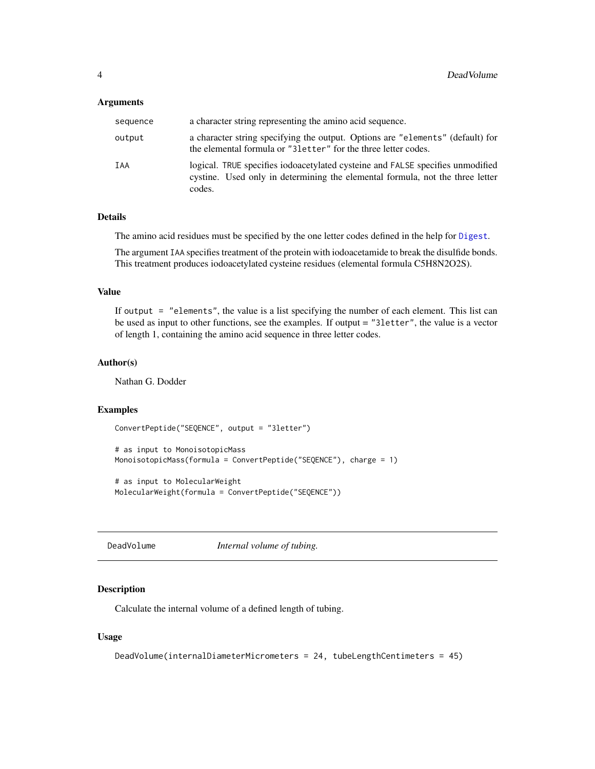#### <span id="page-3-0"></span>Arguments

| sequence | a character string representing the amino acid sequence.                                                                                                                  |
|----------|---------------------------------------------------------------------------------------------------------------------------------------------------------------------------|
| output   | a character string specifying the output. Options are "elements" (default) for<br>the elemental formula or "31etter" for the three letter codes.                          |
| IAA      | logical. TRUE specifies iodoacetylated cysteine and FALSE specifies unmodified<br>cystine. Used only in determining the elemental formula, not the three letter<br>codes. |

#### Details

The amino acid residues must be specified by the one letter codes defined in the help for [Digest](#page-4-1).

The argument IAA specifies treatment of the protein with iodoacetamide to break the disulfide bonds. This treatment produces iodoacetylated cysteine residues (elemental formula C5H8N2O2S).

## Value

If output = "elements", the value is a list specifying the number of each element. This list can be used as input to other functions, see the examples. If output = "3letter", the value is a vector of length 1, containing the amino acid sequence in three letter codes.

## Author(s)

Nathan G. Dodder

#### Examples

```
ConvertPeptide("SEQENCE", output = "3letter")
```

```
# as input to MonoisotopicMass
MonoisotopicMass(formula = ConvertPeptide("SEQENCE"), charge = 1)
```

```
# as input to MolecularWeight
MolecularWeight(formula = ConvertPeptide("SEQENCE"))
```
<span id="page-3-1"></span>DeadVolume *Internal volume of tubing.*

#### Description

Calculate the internal volume of a defined length of tubing.

#### Usage

```
DeadVolume(internalDiameterMicrometers = 24, tubeLengthCentimeters = 45)
```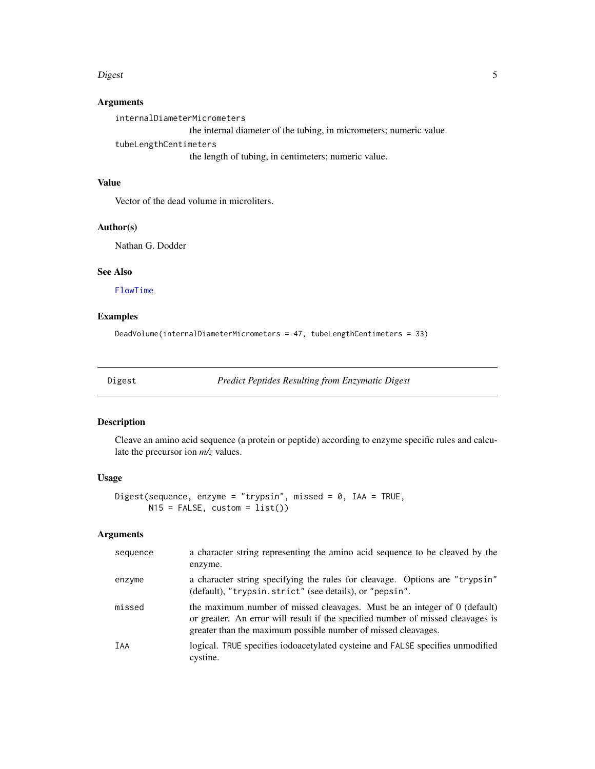#### <span id="page-4-0"></span>extends to the contract of the contract of the contract of the contract of the contract of the contract of the contract of the contract of the contract of the contract of the contract of the contract of the contract of the

## Arguments

internalDiameterMicrometers

the internal diameter of the tubing, in micrometers; numeric value.

tubeLengthCentimeters

the length of tubing, in centimeters; numeric value.

## Value

Vector of the dead volume in microliters.

## Author(s)

Nathan G. Dodder

## See Also

[FlowTime](#page-11-1)

## Examples

```
DeadVolume(internalDiameterMicrometers = 47, tubeLengthCentimeters = 33)
```
<span id="page-4-1"></span>Digest *Predict Peptides Resulting from Enzymatic Digest*

## Description

Cleave an amino acid sequence (a protein or peptide) according to enzyme specific rules and calculate the precursor ion *m/z* values.

## Usage

```
Digest(sequence, enzyme = "trypsin", missed = 0, IAA = TRUE,
      N15 = FALSE, custom = list()
```

| sequence | a character string representing the amino acid sequence to be cleaved by the<br>enzyme.                                                                                                                                       |
|----------|-------------------------------------------------------------------------------------------------------------------------------------------------------------------------------------------------------------------------------|
| enzyme   | a character string specifying the rules for cleavage. Options are "trypsin"<br>(default), "trypsin.strict" (see details), or "pepsin".                                                                                        |
| missed   | the maximum number of missed cleavages. Must be an integer of 0 (default)<br>or greater. An error will result if the specified number of missed cleavages is<br>greater than the maximum possible number of missed cleavages. |
| IAA      | logical. TRUE specifies iodoacetylated cysteine and FALSE specifies unmodified<br>cystine.                                                                                                                                    |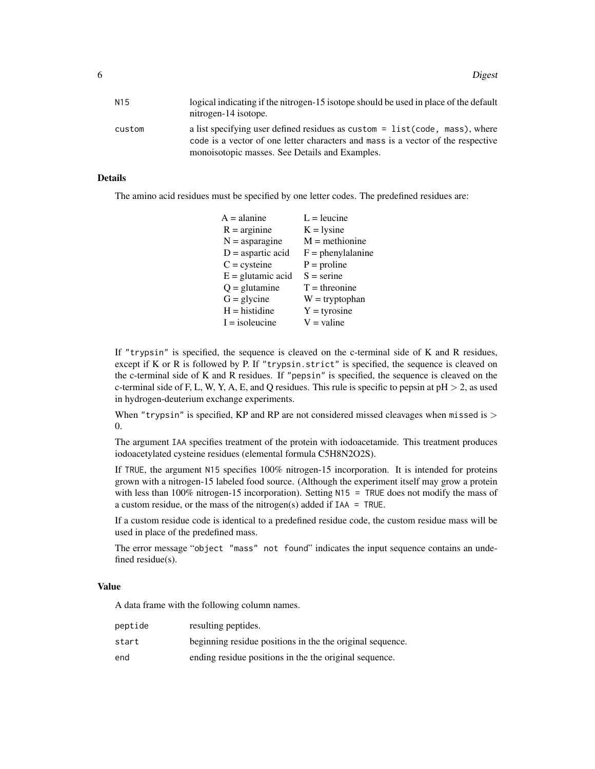| N15    | logical indicating if the nitrogen-15 isotope should be used in place of the default<br>nitrogen-14 isotope.                                                                                                       |
|--------|--------------------------------------------------------------------------------------------------------------------------------------------------------------------------------------------------------------------|
| custom | a list specifying user defined residues as custom = list (code, mass), where<br>code is a vector of one letter characters and mass is a vector of the respective<br>monoisotopic masses. See Details and Examples. |

## Details

The amino acid residues must be specified by one letter codes. The predefined residues are:

| $A =$ alanine       | $L =$ leucine       |
|---------------------|---------------------|
| $R = arginine$      | $K = l$ sine        |
| $N =$ asparagine    | $M =$ methionine    |
| $D =$ aspartic acid | $F =$ phenylalanine |
| $C = c$ ysteine     | $P =$ proline       |
| $E =$ glutamic acid | $S =$ serine        |
| $Q =$ glutamine     | $T =$ threonine     |
| $G =$ glycine       | $W = tryptophan$    |
| $H =$ histidine     | $Y = tyrosine$      |
| $I = isoleucine$    | $V =$ valine        |

If "trypsin" is specified, the sequence is cleaved on the c-terminal side of K and R residues, except if K or R is followed by P. If "trypsin.strict" is specified, the sequence is cleaved on the c-terminal side of K and R residues. If "pepsin" is specified, the sequence is cleaved on the c-terminal side of F, L, W, Y, A, E, and Q residues. This rule is specific to pepsin at  $pH > 2$ , as used in hydrogen-deuterium exchange experiments.

When "trypsin" is specified, KP and RP are not considered missed cleavages when missed is  $>$ 0.

The argument IAA specifies treatment of the protein with iodoacetamide. This treatment produces iodoacetylated cysteine residues (elemental formula C5H8N2O2S).

If TRUE, the argument N15 specifies 100% nitrogen-15 incorporation. It is intended for proteins grown with a nitrogen-15 labeled food source. (Although the experiment itself may grow a protein with less than 100% nitrogen-15 incorporation). Setting N15 = TRUE does not modify the mass of a custom residue, or the mass of the nitrogen(s) added if IAA = TRUE.

If a custom residue code is identical to a predefined residue code, the custom residue mass will be used in place of the predefined mass.

The error message "object "mass" not found" indicates the input sequence contains an undefined residue(s).

#### Value

A data frame with the following column names.

| peptide | resulting peptides.                                       |
|---------|-----------------------------------------------------------|
| start   | beginning residue positions in the the original sequence. |
| end     | ending residue positions in the the original sequence.    |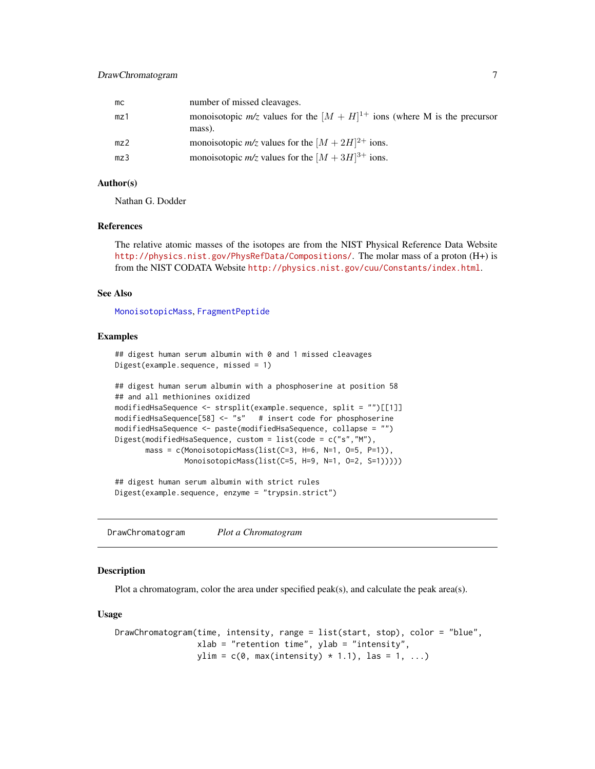<span id="page-6-0"></span>

| mc  | number of missed cleavages.                                                               |
|-----|-------------------------------------------------------------------------------------------|
| mz1 | monoisotopic $m/z$ values for the $[M + H]^{1+}$ ions (where M is the precursor<br>mass). |
| mz2 | monoisotopic $m/z$ values for the $[M + 2H]^{2+}$ ions.                                   |
| mz3 | monoisotopic $m/z$ values for the $[M + 3H]^{3+}$ ions.                                   |

#### Author(s)

Nathan G. Dodder

## References

The relative atomic masses of the isotopes are from the NIST Physical Reference Data Website <http://physics.nist.gov/PhysRefData/Compositions/>. The molar mass of a proton (H+) is from the NIST CODATA Website <http://physics.nist.gov/cuu/Constants/index.html>.

## See Also

[MonoisotopicMass](#page-21-1), [FragmentPeptide](#page-12-1)

## Examples

```
## digest human serum albumin with 0 and 1 missed cleavages
Digest(example.sequence, missed = 1)
```

```
## digest human serum albumin with a phosphoserine at position 58
## and all methionines oxidized
modifiedHsaSequence <- strsplit(example.sequence, split = "")[[1]]
modifiedHsaSequence[58] <- "s" # insert code for phosphoserine
modifiedHsaSequence <- paste(modifiedHsaSequence, collapse = "")
Digest(modifiedHsaSequence, custom = list(code = c("s","M"),
       mass = c(MonoisotopicMass(list(C=3, H=6, N=1, O=5, P=1)),
               MonoisotopicMass(list(C=5, H=9, N=1, O=2, S=1)))))
```
## digest human serum albumin with strict rules Digest(example.sequence, enzyme = "trypsin.strict")

<span id="page-6-1"></span>DrawChromatogram *Plot a Chromatogram*

#### Description

Plot a chromatogram, color the area under specified peak(s), and calculate the peak area(s).

#### Usage

```
DrawChromatogram(time, intensity, range = list(start, stop), color = "blue",
                 xlab = "retention time", ylab = "intensity",
                 ylim = c(0, max(intensity) * 1.1), las = 1, ...)
```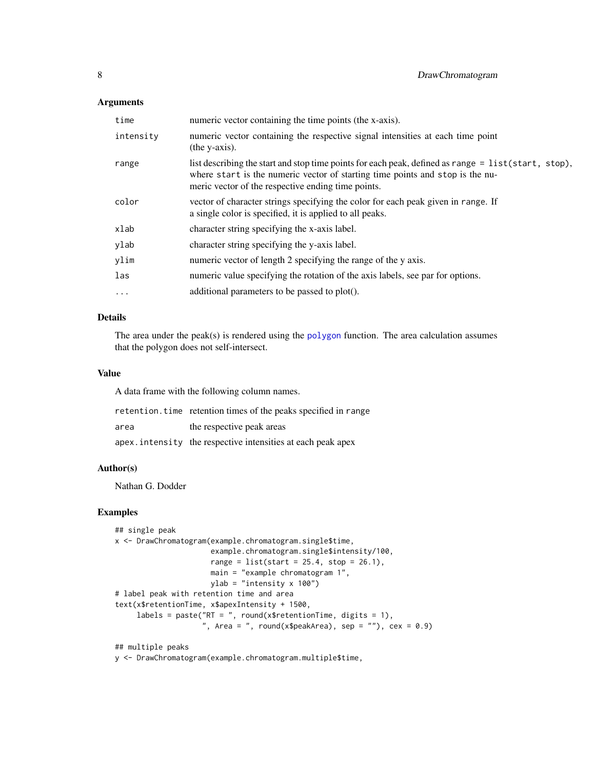#### <span id="page-7-0"></span>Arguments

| time      | numeric vector containing the time points (the x-axis).                                                                                                                                                                                    |
|-----------|--------------------------------------------------------------------------------------------------------------------------------------------------------------------------------------------------------------------------------------------|
| intensity | numeric vector containing the respective signal intensities at each time point<br>(the y-axis).                                                                                                                                            |
| range     | list describing the start and stop time points for each peak, defined as range = list(start, stop),<br>where start is the numeric vector of starting time points and stop is the nu-<br>meric vector of the respective ending time points. |
| color     | vector of character strings specifying the color for each peak given in range. If<br>a single color is specified, it is applied to all peaks.                                                                                              |
| xlab      | character string specifying the x-axis label.                                                                                                                                                                                              |
| ylab      | character string specifying the y-axis label.                                                                                                                                                                                              |
| ylim      | numeric vector of length 2 specifying the range of the y axis.                                                                                                                                                                             |
| las       | numeric value specifying the rotation of the axis labels, see par for options.                                                                                                                                                             |
| $\ddots$  | additional parameters to be passed to plot().                                                                                                                                                                                              |

## Details

The area under the peak(s) is rendered using the [polygon](#page-0-0) function. The area calculation assumes that the polygon does not self-intersect.

## Value

A data frame with the following column names.

|      | retention.time retention times of the peaks specified in range |
|------|----------------------------------------------------------------|
| area | the respective peak areas                                      |
|      | apex.intensity the respective intensities at each peak apex    |

#### Author(s)

Nathan G. Dodder

## Examples

```
## single peak
x <- DrawChromatogram(example.chromatogram.single$time,
                     example.chromatogram.single$intensity/100,
                     range = list(start = 25.4, stop = 26.1),main = "example chromatogram 1",
                     ylab = "intensity x 100")
# label peak with retention time and area
text(x$retentionTime, x$apexIntensity + 1500,
     labels = paste("RT = ", round(x$retentionTime, digits = 1),
                    ", Area = ", round(x$peakArea), sep = ""), cex = 0.9)
```
## multiple peaks

y <- DrawChromatogram(example.chromatogram.multiple\$time,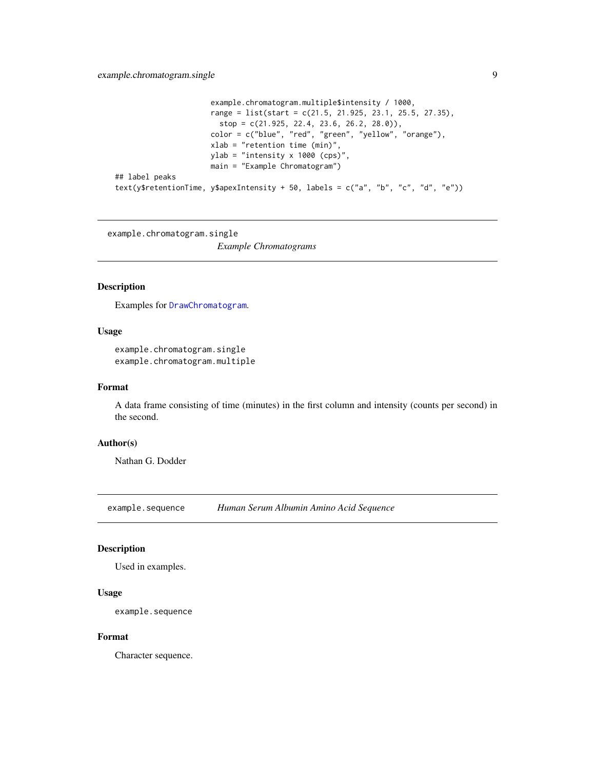```
example.chromatogram.multiple$intensity / 1000,
                      range = list(start = c(21.5, 21.925, 23.1, 25.5, 27.35),
                        stop = c(21.925, 22.4, 23.6, 26.2, 28.0)),
                      color = c("blue", "red", "green", "yellow", "orange"),
                      xlab = "retention time (min)",
                      ylab = "intensity x 1000 (cps)",
                      main = "Example Chromatogram")
## label peaks
text(y$retentionTime, y$apexIntensity + 50, labels = c("a", "b", "c", "d", "e"))
```
example.chromatogram.single

*Example Chromatograms*

#### Description

Examples for [DrawChromatogram](#page-6-1).

## Usage

example.chromatogram.single example.chromatogram.multiple

#### Format

A data frame consisting of time (minutes) in the first column and intensity (counts per second) in the second.

## Author(s)

Nathan G. Dodder

example.sequence *Human Serum Albumin Amino Acid Sequence*

## Description

Used in examples.

## Usage

example.sequence

## Format

Character sequence.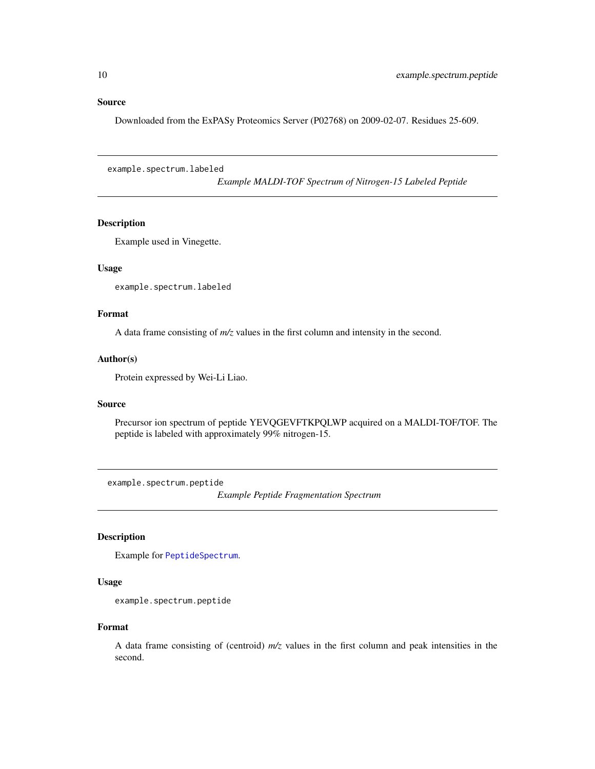#### <span id="page-9-0"></span>Source

Downloaded from the ExPASy Proteomics Server (P02768) on 2009-02-07. Residues 25-609.

example.spectrum.labeled

*Example MALDI-TOF Spectrum of Nitrogen-15 Labeled Peptide*

## Description

Example used in Vinegette.

## Usage

example.spectrum.labeled

## Format

A data frame consisting of *m/z* values in the first column and intensity in the second.

## Author(s)

Protein expressed by Wei-Li Liao.

#### Source

Precursor ion spectrum of peptide YEVQGEVFTKPQLWP acquired on a MALDI-TOF/TOF. The peptide is labeled with approximately 99% nitrogen-15.

example.spectrum.peptide

*Example Peptide Fragmentation Spectrum*

## Description

Example for [PeptideSpectrum](#page-23-1).

## Usage

example.spectrum.peptide

#### Format

A data frame consisting of (centroid) *m/z* values in the first column and peak intensities in the second.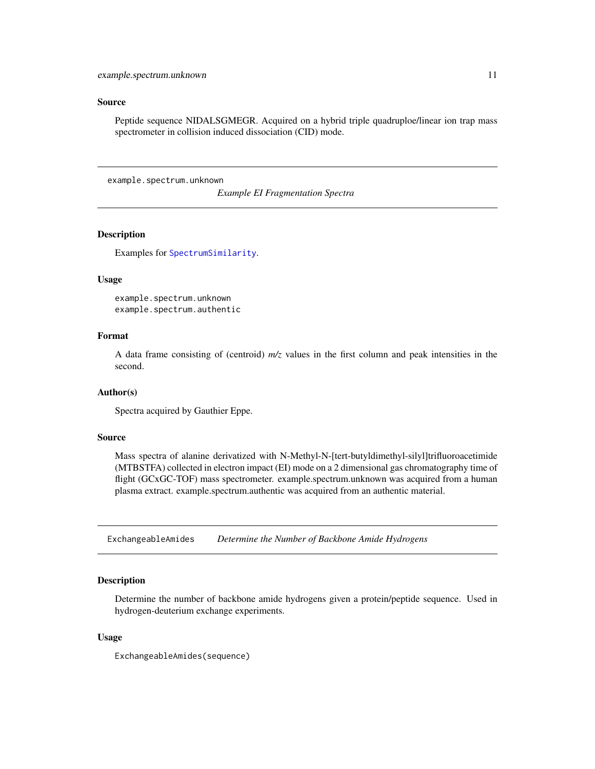## <span id="page-10-0"></span>Source

Peptide sequence NIDALSGMEGR. Acquired on a hybrid triple quadruploe/linear ion trap mass spectrometer in collision induced dissociation (CID) mode.

example.spectrum.unknown

*Example EI Fragmentation Spectra*

## **Description**

Examples for [SpectrumSimilarity](#page-27-1).

#### Usage

```
example.spectrum.unknown
example.spectrum.authentic
```
## Format

A data frame consisting of (centroid) *m/z* values in the first column and peak intensities in the second.

#### Author(s)

Spectra acquired by Gauthier Eppe.

## Source

Mass spectra of alanine derivatized with N-Methyl-N-[tert-butyldimethyl-silyl]trifluoroacetimide (MTBSTFA) collected in electron impact (EI) mode on a 2 dimensional gas chromatography time of flight (GCxGC-TOF) mass spectrometer. example.spectrum.unknown was acquired from a human plasma extract. example.spectrum.authentic was acquired from an authentic material.

ExchangeableAmides *Determine the Number of Backbone Amide Hydrogens*

#### Description

Determine the number of backbone amide hydrogens given a protein/peptide sequence. Used in hydrogen-deuterium exchange experiments.

#### Usage

ExchangeableAmides(sequence)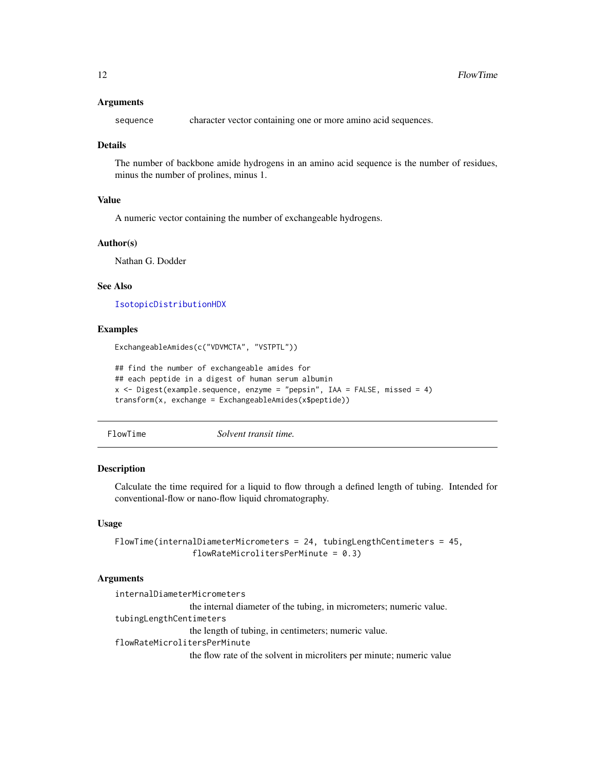#### <span id="page-11-0"></span>Arguments

sequence character vector containing one or more amino acid sequences.

#### Details

The number of backbone amide hydrogens in an amino acid sequence is the number of residues, minus the number of prolines, minus 1.

#### Value

A numeric vector containing the number of exchangeable hydrogens.

#### Author(s)

Nathan G. Dodder

## See Also

[IsotopicDistributionHDX](#page-15-1)

#### Examples

ExchangeableAmides(c("VDVMCTA", "VSTPTL"))

```
## find the number of exchangeable amides for
## each peptide in a digest of human serum albumin
x <- Digest(example.sequence, enzyme = "pepsin", IAA = FALSE, missed = 4)
transform(x, exchange = ExchangeableAmides(x$peptide))
```
<span id="page-11-1"></span>FlowTime *Solvent transit time.*

## **Description**

Calculate the time required for a liquid to flow through a defined length of tubing. Intended for conventional-flow or nano-flow liquid chromatography.

#### Usage

```
FlowTime(internalDiameterMicrometers = 24, tubingLengthCentimeters = 45,
                flowRateMicrolitersPerMinute = 0.3)
```
## Arguments

internalDiameterMicrometers the internal diameter of the tubing, in micrometers; numeric value. tubingLengthCentimeters the length of tubing, in centimeters; numeric value. flowRateMicrolitersPerMinute the flow rate of the solvent in microliters per minute; numeric value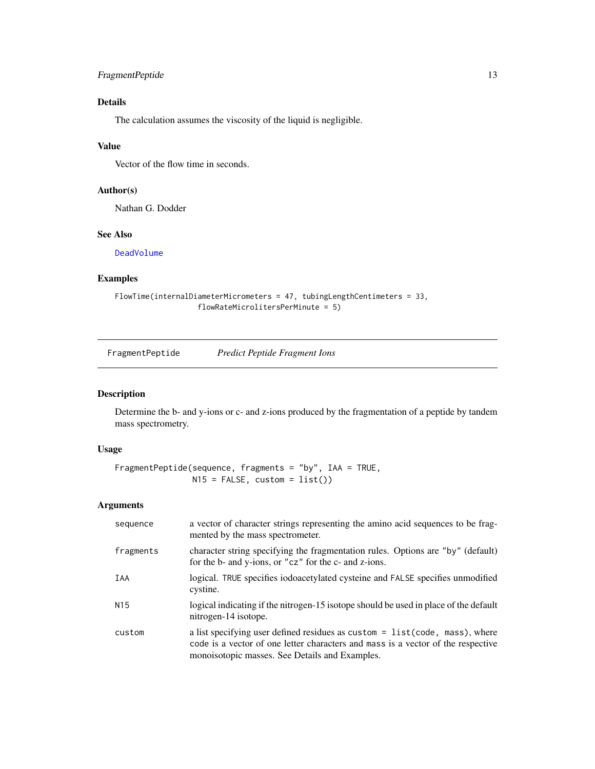## <span id="page-12-0"></span>FragmentPeptide 13

## Details

The calculation assumes the viscosity of the liquid is negligible.

## Value

Vector of the flow time in seconds.

## Author(s)

Nathan G. Dodder

## See Also

[DeadVolume](#page-3-1)

## Examples

```
FlowTime(internalDiameterMicrometers = 47, tubingLengthCentimeters = 33,
                  flowRateMicrolitersPerMinute = 5)
```
<span id="page-12-1"></span>FragmentPeptide *Predict Peptide Fragment Ions*

## Description

Determine the b- and y-ions or c- and z-ions produced by the fragmentation of a peptide by tandem mass spectrometry.

## Usage

```
FragmentPeptide(sequence, fragments = "by", IAA = TRUE,
               N15 = FALSE, custom = list())
```

| sequence        | a vector of character strings representing the amino acid sequences to be frag-<br>mented by the mass spectrometer.                                                                                               |
|-----------------|-------------------------------------------------------------------------------------------------------------------------------------------------------------------------------------------------------------------|
| fragments       | character string specifying the fragmentation rules. Options are "by" (default)<br>for the b- and y-ions, or "cz" for the c- and z-ions.                                                                          |
| IAA             | logical. TRUE specifies iodoacetylated cysteine and FALSE specifies unmodified<br>cystine.                                                                                                                        |
| N <sub>15</sub> | logical indicating if the nitrogen-15 isotope should be used in place of the default<br>nitrogen-14 isotope.                                                                                                      |
| custom          | a list specifying user defined residues as custom = list(code, mass), where<br>code is a vector of one letter characters and mass is a vector of the respective<br>monoisotopic masses. See Details and Examples. |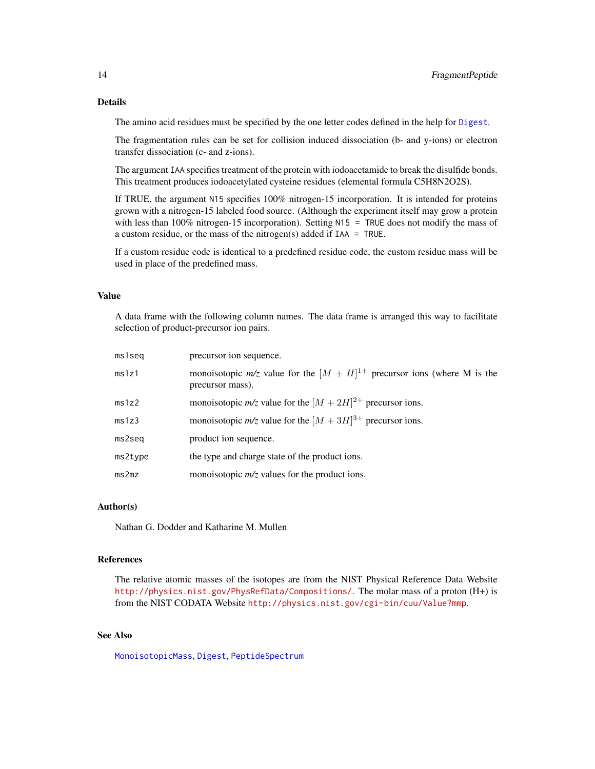## <span id="page-13-0"></span>Details

The amino acid residues must be specified by the one letter codes defined in the help for [Digest](#page-4-1).

The fragmentation rules can be set for collision induced dissociation (b- and y-ions) or electron transfer dissociation (c- and z-ions).

The argument IAA specifies treatment of the protein with iodoacetamide to break the disulfide bonds. This treatment produces iodoacetylated cysteine residues (elemental formula C5H8N2O2S).

If TRUE, the argument N15 specifies 100% nitrogen-15 incorporation. It is intended for proteins grown with a nitrogen-15 labeled food source. (Although the experiment itself may grow a protein with less than 100% nitrogen-15 incorporation). Setting N15 = TRUE does not modify the mass of a custom residue, or the mass of the nitrogen(s) added if  $IAA = TRUE$ .

If a custom residue code is identical to a predefined residue code, the custom residue mass will be used in place of the predefined mass.

## Value

A data frame with the following column names. The data frame is arranged this way to facilitate selection of product-precursor ion pairs.

| ms1seq  | precursor ion sequence.                                                                            |  |
|---------|----------------------------------------------------------------------------------------------------|--|
| ms1z1   | monoisotopic $m/z$ value for the $[M + H]^{1+}$ precursor ions (where M is the<br>precursor mass). |  |
| ms1z2   | monoisotopic $m/z$ value for the $[M + 2H]^{2+}$ precursor ions.                                   |  |
| ms1z3   | monoisotopic $m/z$ value for the $[M + 3H]^{3+}$ precursor ions.                                   |  |
| ms2seq  | product ion sequence.                                                                              |  |
| ms2type | the type and charge state of the product ions.                                                     |  |
| ms2mz   | monoisotopic $m/z$ values for the product ions.                                                    |  |

#### Author(s)

Nathan G. Dodder and Katharine M. Mullen

#### References

The relative atomic masses of the isotopes are from the NIST Physical Reference Data Website <http://physics.nist.gov/PhysRefData/Compositions/>. The molar mass of a proton (H+) is from the NIST CODATA Website <http://physics.nist.gov/cgi-bin/cuu/Value?mmp>.

#### See Also

[MonoisotopicMass](#page-21-1), [Digest](#page-4-1), [PeptideSpectrum](#page-23-1)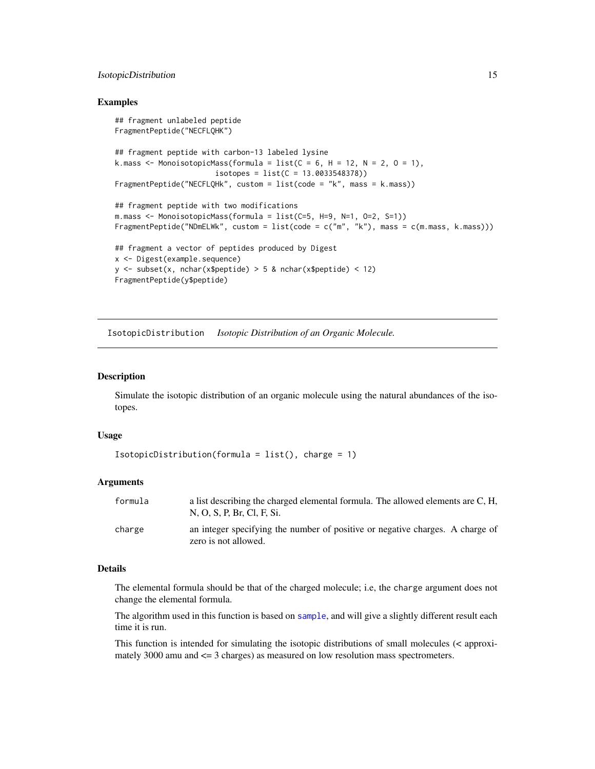## <span id="page-14-0"></span>IsotopicDistribution 15

#### Examples

```
## fragment unlabeled peptide
FragmentPeptide("NECFLQHK")
## fragment peptide with carbon-13 labeled lysine
k.mass \leq MonoisotopicMass(formula = list(C = 6, H = 12, N = 2, O = 1),
                       isotopes = list(C = 13.0033548378)FragmentPeptide("NECFLQHk", custom = list(code = "k", mass = k.mass))
## fragment peptide with two modifications
m.mass <- MonoisotopicMass(formula = list(C=5, H=9, N=1, O=2, S=1))
FragmentPeptide("NDmELWk", custom = list(code = c("m", "k"), mass = c(m.mass, k.mass)))
## fragment a vector of peptides produced by Digest
x <- Digest(example.sequence)
y \le - subset(x, nchar(x$peptide) > 5 & nchar(x$peptide) < 12)
FragmentPeptide(y$peptide)
```
<span id="page-14-1"></span>IsotopicDistribution *Isotopic Distribution of an Organic Molecule.*

#### Description

Simulate the isotopic distribution of an organic molecule using the natural abundances of the isotopes.

#### Usage

```
IsotopicDistribution(formula = list(), charge = 1)
```
#### Arguments

| formula | a list describing the charged elemental formula. The allowed elements are C, H,<br>N, O, S, P, Br, Cl, F, Si. |
|---------|---------------------------------------------------------------------------------------------------------------|
| charge  | an integer specifying the number of positive or negative charges. A charge of<br>zero is not allowed.         |

#### Details

The elemental formula should be that of the charged molecule; i.e, the charge argument does not change the elemental formula.

The algorithm used in this function is based on [sample](#page-0-0), and will give a slightly different result each time it is run.

This function is intended for simulating the isotopic distributions of small molecules  $\ll$  approximately 3000 amu and <= 3 charges) as measured on low resolution mass spectrometers.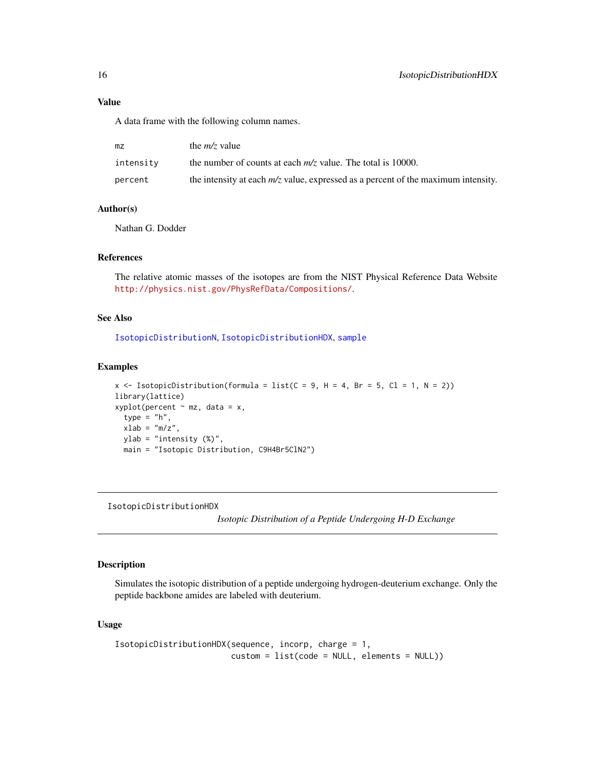<span id="page-15-0"></span>A data frame with the following column names.

| mz        | the $m/z$ value                                                                     |
|-----------|-------------------------------------------------------------------------------------|
| intensity | the number of counts at each $m/z$ value. The total is 10000.                       |
| percent   | the intensity at each $m/z$ value, expressed as a percent of the maximum intensity. |

## Author(s)

Nathan G. Dodder

## References

The relative atomic masses of the isotopes are from the NIST Physical Reference Data Website <http://physics.nist.gov/PhysRefData/Compositions/>.

#### See Also

[IsotopicDistributionN](#page-17-1), [IsotopicDistributionHDX](#page-15-1), [sample](#page-0-0)

#### Examples

```
x \le IsotopicDistribution(formula = list(C = 9, H = 4, Br = 5, Cl = 1, N = 2))
library(lattice)
xyplot(percent ~ mz, data = x,type = "h",
  xlab = "m/z",ylab = "intensity (%)",
  main = "Isotopic Distribution, C9H4Br5ClN2")
```
<span id="page-15-1"></span>IsotopicDistributionHDX

*Isotopic Distribution of a Peptide Undergoing H-D Exchange*

## Description

Simulates the isotopic distribution of a peptide undergoing hydrogen-deuterium exchange. Only the peptide backbone amides are labeled with deuterium.

## Usage

```
IsotopicDistributionHDX(sequence, incorp, charge = 1,
                       custom = list(code = NULL, elements = NULL))
```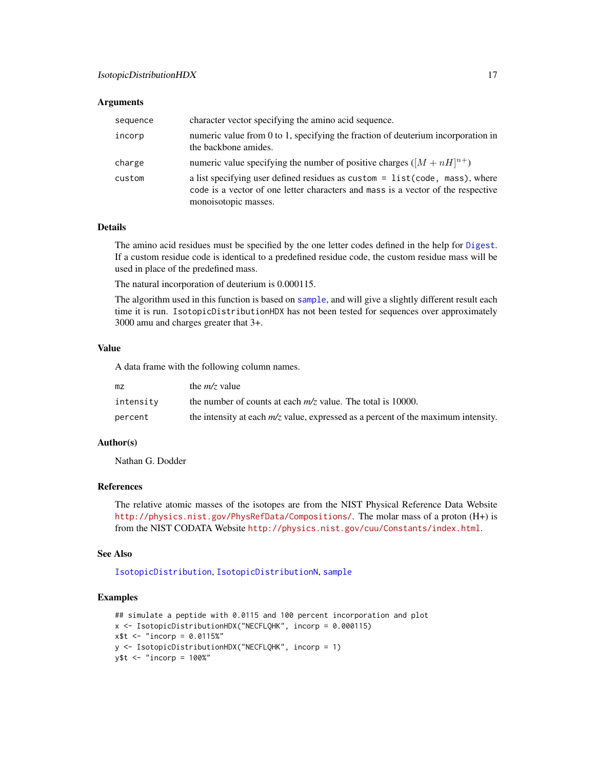#### <span id="page-16-0"></span>Arguments

| sequence | character vector specifying the amino acid sequence.                                                                                                                                     |  |
|----------|------------------------------------------------------------------------------------------------------------------------------------------------------------------------------------------|--|
| incorp   | numeric value from 0 to 1, specifying the fraction of deuterium incorporation in<br>the backbone amides.                                                                                 |  |
| charge   | numeric value specifying the number of positive charges ( $[M + nH]^{n+}$ )                                                                                                              |  |
| custom   | a list specifying user defined residues as custom = list (code, mass), where<br>code is a vector of one letter characters and mass is a vector of the respective<br>monoisotopic masses. |  |

## Details

The amino acid residues must be specified by the one letter codes defined in the help for [Digest](#page-4-1). If a custom residue code is identical to a predefined residue code, the custom residue mass will be used in place of the predefined mass.

The natural incorporation of deuterium is 0.000115.

The algorithm used in this function is based on [sample](#page-0-0), and will give a slightly different result each time it is run. IsotopicDistributionHDX has not been tested for sequences over approximately 3000 amu and charges greater that 3+.

#### Value

A data frame with the following column names.

| mz        | the $m/z$ value                                                                     |
|-----------|-------------------------------------------------------------------------------------|
| intensity | the number of counts at each $m/z$ value. The total is 10000.                       |
| percent   | the intensity at each $m/z$ value, expressed as a percent of the maximum intensity. |

## Author(s)

Nathan G. Dodder

#### References

The relative atomic masses of the isotopes are from the NIST Physical Reference Data Website <http://physics.nist.gov/PhysRefData/Compositions/>. The molar mass of a proton (H+) is from the NIST CODATA Website <http://physics.nist.gov/cuu/Constants/index.html>.

#### See Also

[IsotopicDistribution](#page-14-1), [IsotopicDistributionN](#page-17-1), [sample](#page-0-0)

## Examples

```
## simulate a peptide with 0.0115 and 100 percent incorporation and plot
x <- IsotopicDistributionHDX("NECFLQHK", incorp = 0.000115)
x$t <- "incorp = 0.0115%"
y <- IsotopicDistributionHDX("NECFLQHK", incorp = 1)
y$t <- "incorp = 100%"
```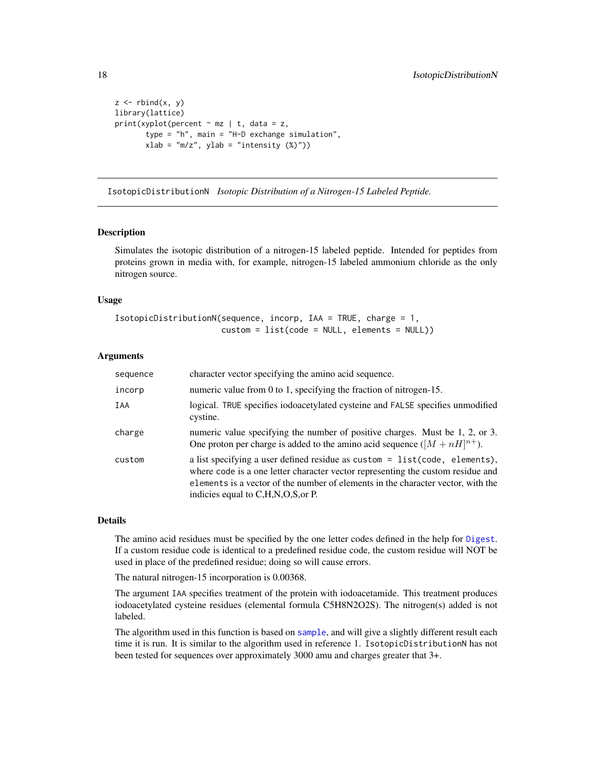```
z \leftarrow rbind(x, y)
library(lattice)
print(xyplot(percent \sim mz | t, data = z,
        type = "h", main = "H-D exchange simulation",
        xlab = "m/z", ylab = "intensity (<math>\%)</math>")
```
<span id="page-17-1"></span>IsotopicDistributionN *Isotopic Distribution of a Nitrogen-15 Labeled Peptide.*

#### Description

Simulates the isotopic distribution of a nitrogen-15 labeled peptide. Intended for peptides from proteins grown in media with, for example, nitrogen-15 labeled ammonium chloride as the only nitrogen source.

#### Usage

```
IsotopicDistributionN(sequence, incorp, IAA = TRUE, charge = 1,
                     custom = list(code = NULL, elements = NULL))
```
#### Arguments

| sequence | character vector specifying the amino acid sequence.                                                                                                                                                                                                                                          |  |
|----------|-----------------------------------------------------------------------------------------------------------------------------------------------------------------------------------------------------------------------------------------------------------------------------------------------|--|
| incorp   | numeric value from $0$ to 1, specifying the fraction of nitrogen-15.                                                                                                                                                                                                                          |  |
| IAA      | logical. TRUE specifies iodoacetylated cysteine and FALSE specifies unmodified<br>cystine.                                                                                                                                                                                                    |  |
| charge   | numeric value specifying the number of positive charges. Must be 1, 2, or 3.<br>One proton per charge is added to the amino acid sequence $([M + nH]^{n+})$ .                                                                                                                                 |  |
| custom   | a list specifying a user defined residue as custom $=$ list(code, elements),<br>where code is a one letter character vector representing the custom residue and<br>elements is a vector of the number of elements in the character vector, with the<br>indicies equal to C, H, N, O, S, or P. |  |

#### Details

The amino acid residues must be specified by the one letter codes defined in the help for [Digest](#page-4-1). If a custom residue code is identical to a predefined residue code, the custom residue will NOT be used in place of the predefined residue; doing so will cause errors.

The natural nitrogen-15 incorporation is 0.00368.

The argument IAA specifies treatment of the protein with iodoacetamide. This treatment produces iodoacetylated cysteine residues (elemental formula C5H8N2O2S). The nitrogen(s) added is not labeled.

The algorithm used in this function is based on [sample](#page-0-0), and will give a slightly different result each time it is run. It is similar to the algorithm used in reference 1. IsotopicDistributionN has not been tested for sequences over approximately 3000 amu and charges greater that 3+.

<span id="page-17-0"></span>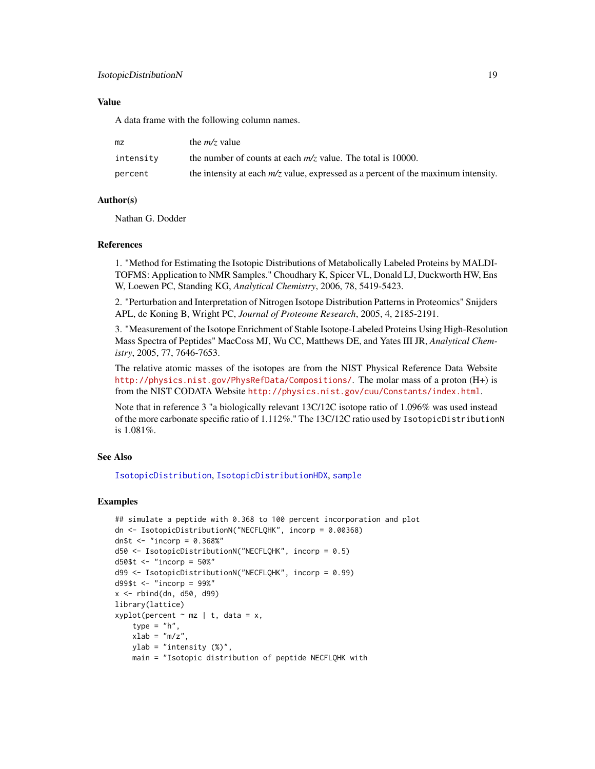## <span id="page-18-0"></span>IsotopicDistributionN 19

## Value

A data frame with the following column names.

| mz        | the $m/z$ value                                                                     |  |
|-----------|-------------------------------------------------------------------------------------|--|
| intensity | the number of counts at each $m/z$ value. The total is 10000.                       |  |
| percent   | the intensity at each $m/z$ value, expressed as a percent of the maximum intensity. |  |

## Author(s)

Nathan G. Dodder

## References

1. "Method for Estimating the Isotopic Distributions of Metabolically Labeled Proteins by MALDI-TOFMS: Application to NMR Samples." Choudhary K, Spicer VL, Donald LJ, Duckworth HW, Ens W, Loewen PC, Standing KG, *Analytical Chemistry*, 2006, 78, 5419-5423.

2. "Perturbation and Interpretation of Nitrogen Isotope Distribution Patterns in Proteomics" Snijders APL, de Koning B, Wright PC, *Journal of Proteome Research*, 2005, 4, 2185-2191.

3. "Measurement of the Isotope Enrichment of Stable Isotope-Labeled Proteins Using High-Resolution Mass Spectra of Peptides" MacCoss MJ, Wu CC, Matthews DE, and Yates III JR, *Analytical Chemistry*, 2005, 77, 7646-7653.

The relative atomic masses of the isotopes are from the NIST Physical Reference Data Website <http://physics.nist.gov/PhysRefData/Compositions/>. The molar mass of a proton (H+) is from the NIST CODATA Website <http://physics.nist.gov/cuu/Constants/index.html>.

Note that in reference 3 "a biologically relevant 13C/12C isotope ratio of 1.096% was used instead of the more carbonate specific ratio of 1.112%." The 13C/12C ratio used by IsotopicDistributionN is 1.081%.

## See Also

[IsotopicDistribution](#page-14-1), [IsotopicDistributionHDX](#page-15-1), [sample](#page-0-0)

## Examples

```
## simulate a peptide with 0.368 to 100 percent incorporation and plot
dn <- IsotopicDistributionN("NECFLQHK", incorp = 0.00368)
dn$t <- "incorp = 0.368\%"
d50 <- IsotopicDistributionN("NECFLQHK", incorp = 0.5)
d50$t <- "incorp = 50%"
d99 <- IsotopicDistributionN("NECFLQHK", incorp = 0.99)
d99$t <- "incorp = 99%"
x <- rbind(dn, d50, d99)
library(lattice)
xyplot(percent ~ mz ~ | ~ t, data = x,type = "h",
   xlab = "m/z",ylab = "intensity (%)",
   main = "Isotopic distribution of peptide NECFLQHK with
```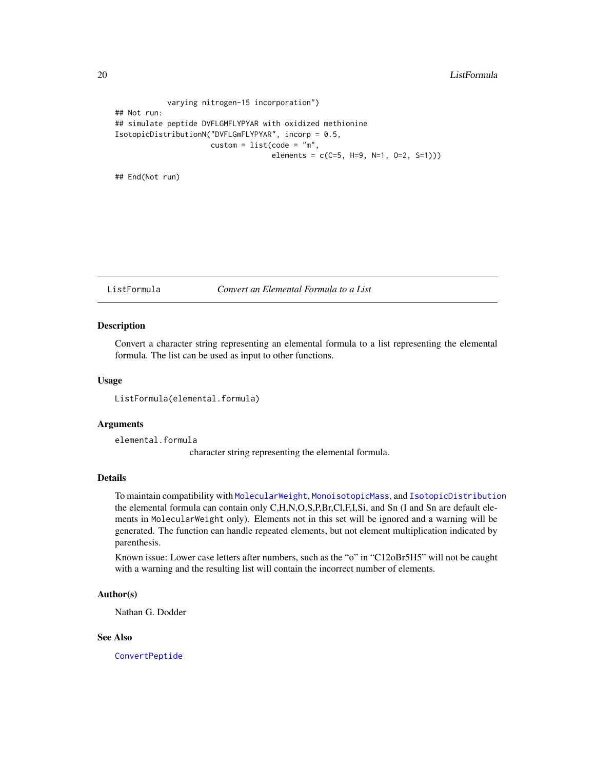```
varying nitrogen-15 incorporation")
## Not run:
## simulate peptide DVFLGMFLYPYAR with oxidized methionine
IsotopicDistributionN("DVFLGmFLYPYAR", incorp = 0.5,
                       \text{custom} = \text{list}(\text{code} = "m",elements = c(C=5, H=9, N=1, 0=2, S=1)))
```
## End(Not run)

ListFormula *Convert an Elemental Formula to a List*

#### Description

Convert a character string representing an elemental formula to a list representing the elemental formula. The list can be used as input to other functions.

#### Usage

ListFormula(elemental.formula)

#### Arguments

elemental.formula

character string representing the elemental formula.

## Details

To maintain compatibility with [MolecularWeight](#page-20-1), [MonoisotopicMass](#page-21-1), and [IsotopicDistribution](#page-14-1) the elemental formula can contain only C,H,N,O,S,P,Br,Cl,F,I,Si, and Sn (I and Sn are default elements in MolecularWeight only). Elements not in this set will be ignored and a warning will be generated. The function can handle repeated elements, but not element multiplication indicated by parenthesis.

Known issue: Lower case letters after numbers, such as the "o" in "C12oBr5H5" will not be caught with a warning and the resulting list will contain the incorrect number of elements.

## Author(s)

Nathan G. Dodder

#### See Also

[ConvertPeptide](#page-2-1)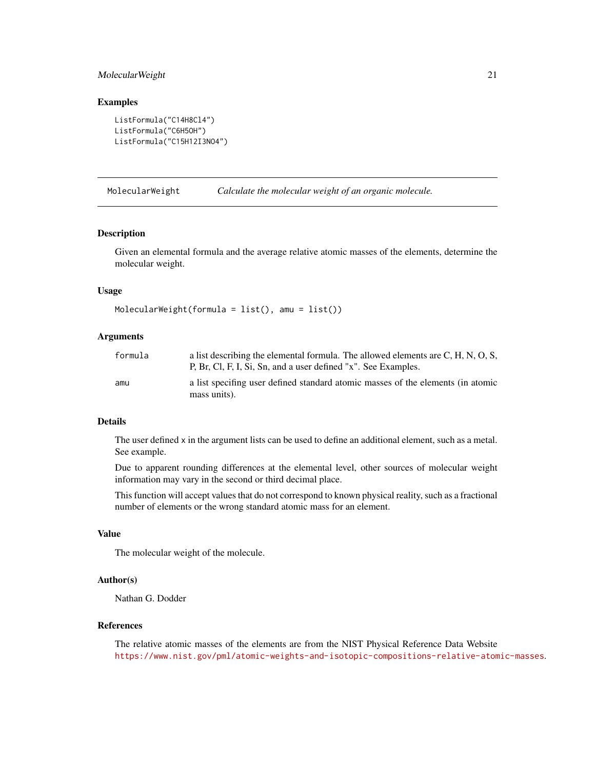## <span id="page-20-0"></span>MolecularWeight 21

#### Examples

```
ListFormula("C14H8Cl4")
ListFormula("C6H5OH")
ListFormula("C15H12I3NO4")
```
<span id="page-20-1"></span>MolecularWeight *Calculate the molecular weight of an organic molecule.*

#### Description

Given an elemental formula and the average relative atomic masses of the elements, determine the molecular weight.

#### Usage

```
MolecularWeight(formula = list(), amu = list())
```
## Arguments

| formula | a list describing the elemental formula. The allowed elements are C, H, N, O, S,<br>P, Br, Cl, F, I, Si, Sn, and a user defined "x". See Examples. |
|---------|----------------------------------------------------------------------------------------------------------------------------------------------------|
| amu     | a list specifing user defined standard atomic masses of the elements (in atomic<br>mass units).                                                    |

## Details

The user defined x in the argument lists can be used to define an additional element, such as a metal. See example.

Due to apparent rounding differences at the elemental level, other sources of molecular weight information may vary in the second or third decimal place.

This function will accept values that do not correspond to known physical reality, such as a fractional number of elements or the wrong standard atomic mass for an element.

## Value

The molecular weight of the molecule.

#### Author(s)

Nathan G. Dodder

#### References

The relative atomic masses of the elements are from the NIST Physical Reference Data Website <https://www.nist.gov/pml/atomic-weights-and-isotopic-compositions-relative-atomic-masses>.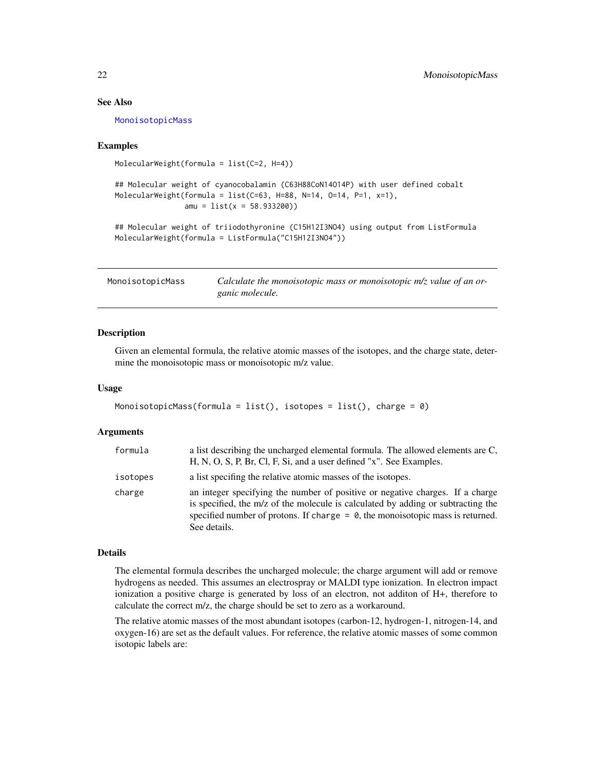## See Also

[MonoisotopicMass](#page-21-1)

#### Examples

```
MolecularWeight(formula = list(C=2, H=4))
```

```
## Molecular weight of cyanocobalamin (C63H88CoN14O14P) with user defined cobalt
MolecularWeight(formula = list(C=63, H=88, N=14, O=14, P=1, x=1),
                amu = list(x = 58.933200)
```

```
## Molecular weight of triiodothyronine (C15H12I3NO4) using output from ListFormula
MolecularWeight(formula = ListFormula("C15H12I3NO4"))
```
<span id="page-21-1"></span>

| MonoisotopicMass | Calculate the monoisotopic mass or monoisotopic $m/z$ value of an or- |
|------------------|-----------------------------------------------------------------------|
|                  | ganic molecule.                                                       |

#### Description

Given an elemental formula, the relative atomic masses of the isotopes, and the charge state, determine the monoisotopic mass or monoisotopic m/z value.

#### Usage

```
MonoisotopicMass(formula = list(), isotopes = list(), charge = 0)
```
## Arguments

| formula  | a list describing the uncharged elemental formula. The allowed elements are C,<br>H, N, O, S, P, Br, Cl, F, Si, and a user defined "x". See Examples.                                                                                                                  |  |
|----------|------------------------------------------------------------------------------------------------------------------------------------------------------------------------------------------------------------------------------------------------------------------------|--|
| isotopes | a list specifing the relative atomic masses of the isotopes.                                                                                                                                                                                                           |  |
| charge   | an integer specifying the number of positive or negative charges. If a charge<br>is specified, the m/z of the molecule is calculated by adding or subtracting the<br>specified number of protons. If charge $= 0$ , the monoisotopic mass is returned.<br>See details. |  |

#### Details

The elemental formula describes the uncharged molecule; the charge argument will add or remove hydrogens as needed. This assumes an electrospray or MALDI type ionization. In electron impact ionization a positive charge is generated by loss of an electron, not additon of H+, therefore to calculate the correct m/z, the charge should be set to zero as a workaround.

The relative atomic masses of the most abundant isotopes (carbon-12, hydrogen-1, nitrogen-14, and oxygen-16) are set as the default values. For reference, the relative atomic masses of some common isotopic labels are:

<span id="page-21-0"></span>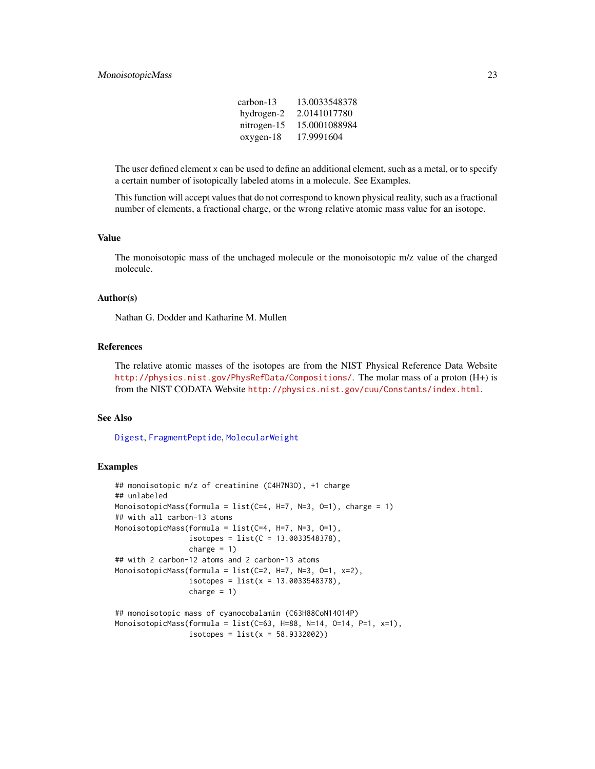## <span id="page-22-0"></span>MonoisotopicMass 23

| carbon-13   | 13.0033548378 |
|-------------|---------------|
| hydrogen-2  | 2.0141017780  |
| nitrogen-15 | 15.0001088984 |
| oxygen-18   | 17.9991604    |

The user defined element x can be used to define an additional element, such as a metal, or to specify a certain number of isotopically labeled atoms in a molecule. See Examples.

This function will accept values that do not correspond to known physical reality, such as a fractional number of elements, a fractional charge, or the wrong relative atomic mass value for an isotope.

#### Value

The monoisotopic mass of the unchaged molecule or the monoisotopic m/z value of the charged molecule.

## Author(s)

Nathan G. Dodder and Katharine M. Mullen

## References

The relative atomic masses of the isotopes are from the NIST Physical Reference Data Website <http://physics.nist.gov/PhysRefData/Compositions/>. The molar mass of a proton (H+) is from the NIST CODATA Website <http://physics.nist.gov/cuu/Constants/index.html>.

#### See Also

[Digest](#page-4-1), [FragmentPeptide](#page-12-1), [MolecularWeight](#page-20-1)

#### Examples

```
## monoisotopic m/z of creatinine (C4H7N3O), +1 charge
## unlabeled
MonoisotopicMass(formula = list(C=4, H=7, N=3, O=1), charge = 1)
## with all carbon-13 atoms
MonoisotopicMass(formula = list(C=4, H=7, N=3, O=1),
                 isotopes = list(C = 13.0033548378),charge = 1)
## with 2 carbon-12 atoms and 2 carbon-13 atoms
MonoisotopicMass(formula = list(C=2, H=7, N=3, O=1, x=2),
                 isotopes = list(x = 13.0033548378),
                 charge = 1)
## monoisotopic mass of cyanocobalamin (C63H88CoN14O14P)
MonoisotopicMass(formula = list(C=63, H=88, N=14, O=14, P=1, x=1),
```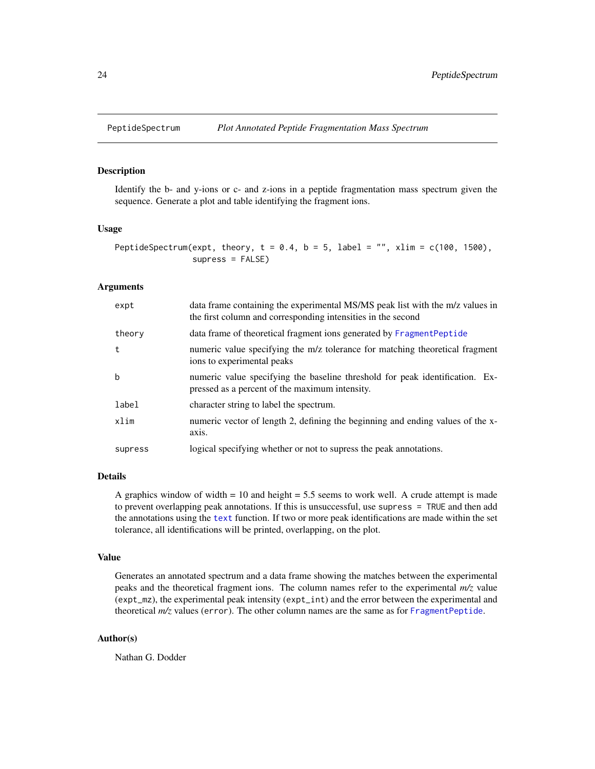<span id="page-23-1"></span><span id="page-23-0"></span>

## Description

Identify the b- and y-ions or c- and z-ions in a peptide fragmentation mass spectrum given the sequence. Generate a plot and table identifying the fragment ions.

#### Usage

```
PeptideSpectrum(expt, theory, t = 0.4, b = 5, label = "", xlim = c(100, 1500),
                supress = FALSE)
```
#### Arguments

| expt    | data frame containing the experimental MS/MS peak list with the m/z values in<br>the first column and corresponding intensities in the second |
|---------|-----------------------------------------------------------------------------------------------------------------------------------------------|
| theory  | data frame of theoretical fragment ions generated by FragmentPeptide                                                                          |
| t       | numeric value specifying the m/z tolerance for matching theoretical fragment<br>ions to experimental peaks                                    |
| b       | numeric value specifying the baseline threshold for peak identification. Ex-<br>pressed as a percent of the maximum intensity.                |
| label   | character string to label the spectrum.                                                                                                       |
| xlim    | numeric vector of length 2, defining the beginning and ending values of the x-<br>axis.                                                       |
| supress | logical specifying whether or not to supress the peak annotations.                                                                            |
|         |                                                                                                                                               |

#### Details

A graphics window of width  $= 10$  and height  $= 5.5$  seems to work well. A crude attempt is made to prevent overlapping peak annotations. If this is unsuccessful, use supress = TRUE and then add the annotations using the [text](#page-0-0) function. If two or more peak identifications are made within the set tolerance, all identifications will be printed, overlapping, on the plot.

#### Value

Generates an annotated spectrum and a data frame showing the matches between the experimental peaks and the theoretical fragment ions. The column names refer to the experimental *m/z* value (expt\_mz), the experimental peak intensity (expt\_int) and the error between the experimental and theoretical *m/z* values (error). The other column names are the same as for [FragmentPeptide](#page-12-1).

## Author(s)

Nathan G. Dodder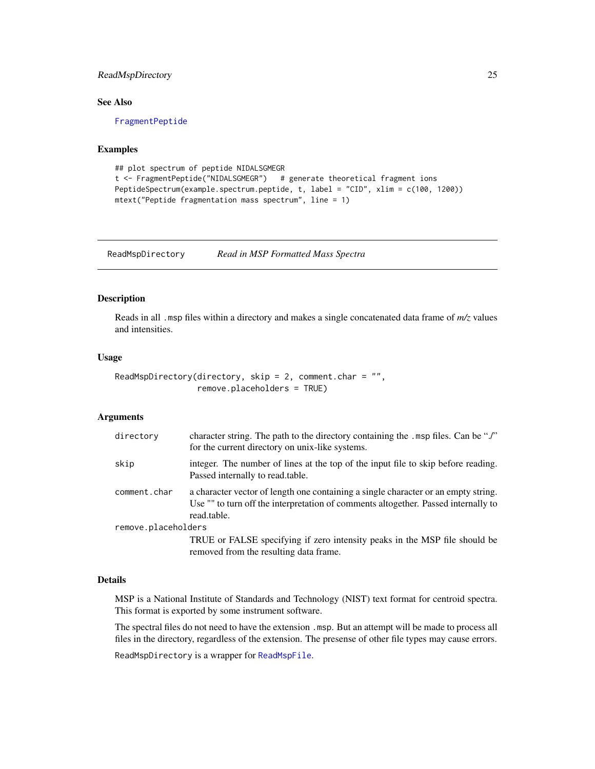## <span id="page-24-0"></span>ReadMspDirectory 25

## See Also

[FragmentPeptide](#page-12-1)

## Examples

```
## plot spectrum of peptide NIDALSGMEGR
t <- FragmentPeptide("NIDALSGMEGR") # generate theoretical fragment ions
PeptideSpectrum(example.spectrum.peptide, t, label = "CID", xlim = c(100, 1200))
mtext("Peptide fragmentation mass spectrum", line = 1)
```
<span id="page-24-1"></span>ReadMspDirectory *Read in MSP Formatted Mass Spectra*

## Description

Reads in all .msp files within a directory and makes a single concatenated data frame of *m/z* values and intensities.

## Usage

```
ReadMspDirectory(directory, skip = 2, comment.char = ",
                remove.placeholders = TRUE)
```
## Arguments

| directory           | character string. The path to the directory containing the . msp files. Can be "./"<br>for the current directory on unix-like systems.                                                  |
|---------------------|-----------------------------------------------------------------------------------------------------------------------------------------------------------------------------------------|
| skip                | integer. The number of lines at the top of the input file to skip before reading.<br>Passed internally to read.table.                                                                   |
| comment.char        | a character vector of length one containing a single character or an empty string.<br>Use "" to turn off the interpretation of comments altogether. Passed internally to<br>read.table. |
| remove.placeholders |                                                                                                                                                                                         |
|                     | TRUE or FALSE specifying if zero intensity peaks in the MSP file should be<br>removed from the resulting data frame.                                                                    |

#### Details

MSP is a National Institute of Standards and Technology (NIST) text format for centroid spectra. This format is exported by some instrument software.

The spectral files do not need to have the extension .msp. But an attempt will be made to process all files in the directory, regardless of the extension. The presense of other file types may cause errors.

ReadMspDirectory is a wrapper for [ReadMspFile](#page-25-1).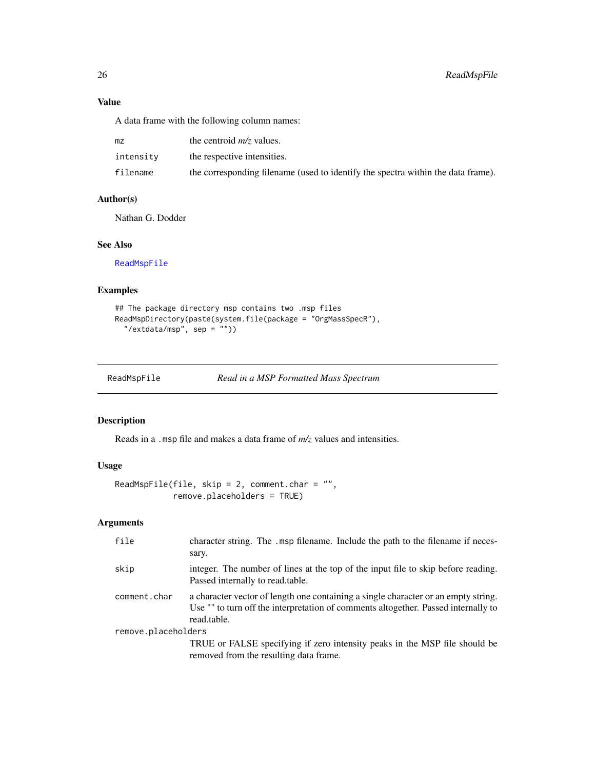## Value

A data frame with the following column names:

| mz        | the centroid $m/z$ values.                                                       |
|-----------|----------------------------------------------------------------------------------|
| intensity | the respective intensities.                                                      |
| filename  | the corresponding filename (used to identify the spectra within the data frame). |

#### Author(s)

Nathan G. Dodder

## See Also

[ReadMspFile](#page-25-1)

## Examples

```
## The package directory msp contains two .msp files
ReadMspDirectory(paste(system.file(package = "OrgMassSpecR"),
  "/extdata/msp", sep = ""))
```
<span id="page-25-1"></span>ReadMspFile *Read in a MSP Formatted Mass Spectrum*

## Description

Reads in a .msp file and makes a data frame of *m/z* values and intensities.

## Usage

```
ReadMspFile(file, skip = 2, comment.char = ",
           remove.placeholders = TRUE)
```

| file                | character string. The .msp filename. Include the path to the filename if neces-<br>sary.                                                                                                |
|---------------------|-----------------------------------------------------------------------------------------------------------------------------------------------------------------------------------------|
| skip                | integer. The number of lines at the top of the input file to skip before reading.<br>Passed internally to read.table.                                                                   |
| comment.char        | a character vector of length one containing a single character or an empty string.<br>Use "" to turn off the interpretation of comments altogether. Passed internally to<br>read.table. |
| remove.placeholders |                                                                                                                                                                                         |
|                     | TRUE or FALSE specifying if zero intensity peaks in the MSP file should be<br>removed from the resulting data frame.                                                                    |

<span id="page-25-0"></span>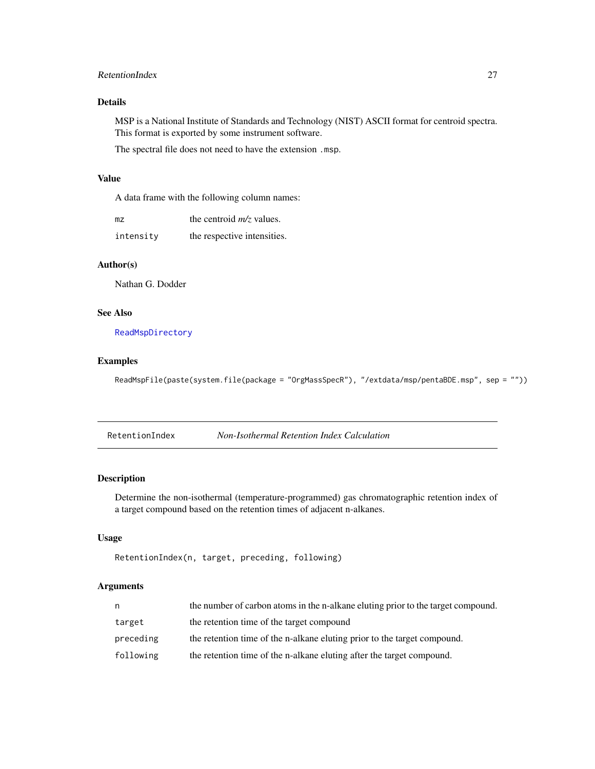## <span id="page-26-0"></span>RetentionIndex 27

## Details

MSP is a National Institute of Standards and Technology (NIST) ASCII format for centroid spectra. This format is exported by some instrument software.

The spectral file does not need to have the extension .msp.

## Value

A data frame with the following column names:

| mz        | the centroid $m/z$ values.  |
|-----------|-----------------------------|
| intensity | the respective intensities. |

## Author(s)

Nathan G. Dodder

## See Also

[ReadMspDirectory](#page-24-1)

#### Examples

ReadMspFile(paste(system.file(package = "OrgMassSpecR"), "/extdata/msp/pentaBDE.msp", sep = ""))

RetentionIndex *Non-Isothermal Retention Index Calculation*

## Description

Determine the non-isothermal (temperature-programmed) gas chromatographic retention index of a target compound based on the retention times of adjacent n-alkanes.

## Usage

```
RetentionIndex(n, target, preceding, following)
```

| n.        | the number of carbon atoms in the n-alkane eluting prior to the target compound. |
|-----------|----------------------------------------------------------------------------------|
| target    | the retention time of the target compound                                        |
| preceding | the retention time of the n-alkane eluting prior to the target compound.         |
| following | the retention time of the n-alkane eluting after the target compound.            |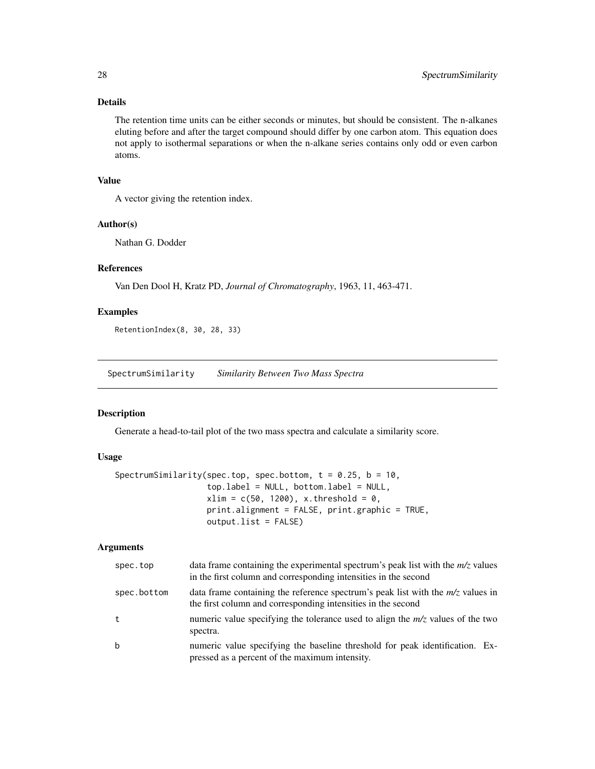## Details

The retention time units can be either seconds or minutes, but should be consistent. The n-alkanes eluting before and after the target compound should differ by one carbon atom. This equation does not apply to isothermal separations or when the n-alkane series contains only odd or even carbon atoms.

## Value

A vector giving the retention index.

#### Author(s)

Nathan G. Dodder

#### References

Van Den Dool H, Kratz PD, *Journal of Chromatography*, 1963, 11, 463-471.

## Examples

RetentionIndex(8, 30, 28, 33)

<span id="page-27-1"></span>SpectrumSimilarity *Similarity Between Two Mass Spectra*

## Description

Generate a head-to-tail plot of the two mass spectra and calculate a similarity score.

## Usage

```
SpectrumSimilarity(spec.top, spec.bottom, t = 0.25, b = 10,
                   top.label = NULL, bottom.label = NULL,
                   xlim = c(50, 1200), x.threshold = 0,
                   print.alignment = FALSE, print.graphic = TRUE,
                   output.list = FALSE)
```

| spec.top    | data frame containing the experimental spectrum's peak list with the $m/z$ values<br>in the first column and corresponding intensities in the second |
|-------------|------------------------------------------------------------------------------------------------------------------------------------------------------|
| spec.bottom | data frame containing the reference spectrum's peak list with the $m/z$ values in<br>the first column and corresponding intensities in the second    |
| t           | numeric value specifying the tolerance used to align the $m/z$ values of the two<br>spectra.                                                         |
| $\mathbf b$ | numeric value specifying the baseline threshold for peak identification. Ex-<br>pressed as a percent of the maximum intensity.                       |

<span id="page-27-0"></span>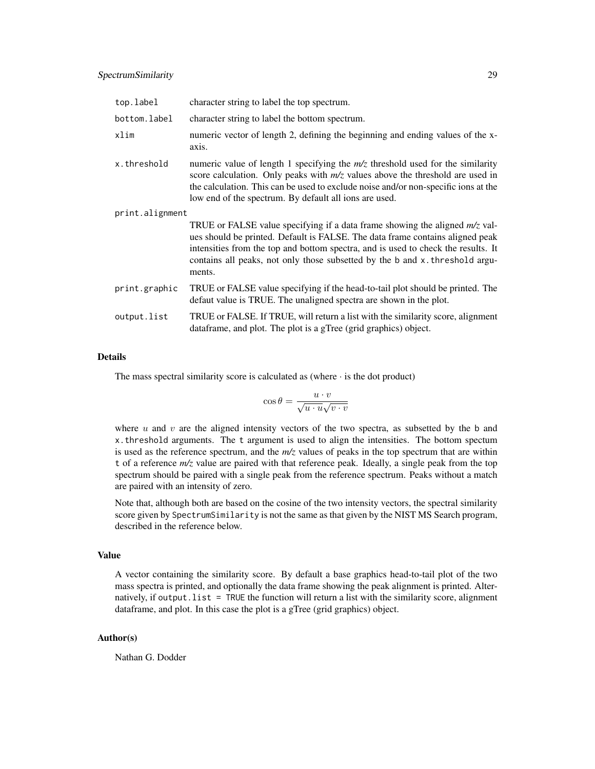| top.label       | character string to label the top spectrum.                                                                                                                                                                                                                                                                                                   |
|-----------------|-----------------------------------------------------------------------------------------------------------------------------------------------------------------------------------------------------------------------------------------------------------------------------------------------------------------------------------------------|
| bottom.label    | character string to label the bottom spectrum.                                                                                                                                                                                                                                                                                                |
| xlim            | numeric vector of length 2, defining the beginning and ending values of the x-<br>axis.                                                                                                                                                                                                                                                       |
| x.threshold     | numeric value of length 1 specifying the $m/z$ threshold used for the similarity<br>score calculation. Only peaks with $m/z$ values above the threshold are used in<br>the calculation. This can be used to exclude noise and/or non-specific ions at the<br>low end of the spectrum. By default all ions are used.                           |
| print.alignment |                                                                                                                                                                                                                                                                                                                                               |
|                 | TRUE or FALSE value specifying if a data frame showing the aligned $m/z$ val-<br>ues should be printed. Default is FALSE. The data frame contains aligned peak<br>intensities from the top and bottom spectra, and is used to check the results. It<br>contains all peaks, not only those subsetted by the b and x. threshold argu-<br>ments. |
| print.graphic   | TRUE or FALSE value specifying if the head-to-tail plot should be printed. The<br>defaut value is TRUE. The unaligned spectra are shown in the plot.                                                                                                                                                                                          |
| output.list     | TRUE or FALSE. If TRUE, will return a list with the similarity score, alignment<br>dataframe, and plot. The plot is a gTree (grid graphics) object.                                                                                                                                                                                           |

## Details

The mass spectral similarity score is calculated as (where  $\cdot$  is the dot product)

$$
\cos \theta = \frac{u \cdot v}{\sqrt{u \cdot u} \sqrt{v \cdot v}}
$$

where  $u$  and  $v$  are the aligned intensity vectors of the two spectra, as subsetted by the b and x.threshold arguments. The t argument is used to align the intensities. The bottom spectum is used as the reference spectrum, and the *m/z* values of peaks in the top spectrum that are within t of a reference *m/z* value are paired with that reference peak. Ideally, a single peak from the top spectrum should be paired with a single peak from the reference spectrum. Peaks without a match are paired with an intensity of zero.

Note that, although both are based on the cosine of the two intensity vectors, the spectral similarity score given by SpectrumSimilarity is not the same as that given by the NIST MS Search program, described in the reference below.

## Value

A vector containing the similarity score. By default a base graphics head-to-tail plot of the two mass spectra is printed, and optionally the data frame showing the peak alignment is printed. Alternatively, if output.list = TRUE the function will return a list with the similarity score, alignment dataframe, and plot. In this case the plot is a gTree (grid graphics) object.

#### Author(s)

Nathan G. Dodder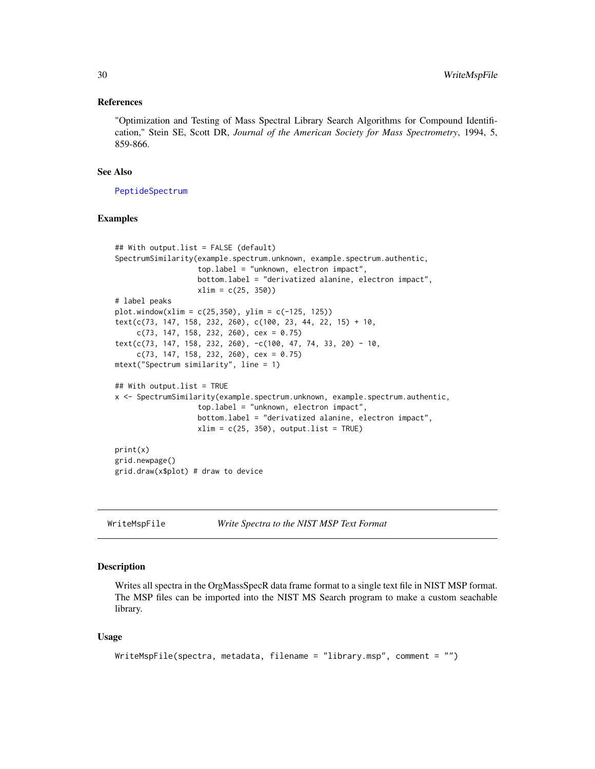#### <span id="page-29-0"></span>References

"Optimization and Testing of Mass Spectral Library Search Algorithms for Compound Identification," Stein SE, Scott DR, *Journal of the American Society for Mass Spectrometry*, 1994, 5, 859-866.

## See Also

[PeptideSpectrum](#page-23-1)

## Examples

```
## With output.list = FALSE (default)
SpectrumSimilarity(example.spectrum.unknown, example.spectrum.authentic,
                   top.label = "unknown, electron impact",
                  bottom.label = "derivatized alanine, electron impact",
                  xlim = c(25, 350)# label peaks
plot.window(xlim = c(25, 350), ylim = c(-125, 125))text(c(73, 147, 158, 232, 260), c(100, 23, 44, 22, 15) + 10,c(73, 147, 158, 232, 260), cex = 0.75)
text(c(73, 147, 158, 232, 260), -c(100, 47, 74, 33, 20) - 10,c(73, 147, 158, 232, 260), cex = 0.75)
mtext("Spectrum similarity", line = 1)
## With output.list = TRUE
x <- SpectrumSimilarity(example.spectrum.unknown, example.spectrum.authentic,
                  top.label = "unknown, electron impact",
                  bottom.label = "derivatized alanine, electron impact",
                  xlim = c(25, 350), output.list = TRUE)
print(x)
grid.newpage()
grid.draw(x$plot) # draw to device
```
WriteMspFile *Write Spectra to the NIST MSP Text Format*

#### **Description**

Writes all spectra in the OrgMassSpecR data frame format to a single text file in NIST MSP format. The MSP files can be imported into the NIST MS Search program to make a custom seachable library.

#### Usage

```
WriteMspFile(spectra, metadata, filename = "library.msp", comment = "")
```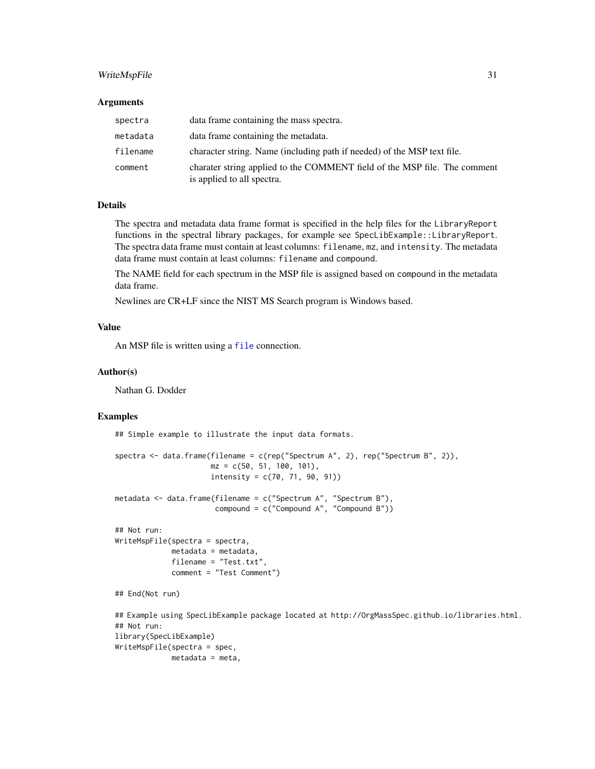## <span id="page-30-0"></span>WriteMspFile 31

#### Arguments

| spectra  | data frame containing the mass spectra.                                                                 |
|----------|---------------------------------------------------------------------------------------------------------|
| metadata | data frame containing the metadata.                                                                     |
| filename | character string. Name (including path if needed) of the MSP text file.                                 |
| comment  | charater string applied to the COMMENT field of the MSP file. The comment<br>is applied to all spectra. |

#### Details

The spectra and metadata data frame format is specified in the help files for the LibraryReport functions in the spectral library packages, for example see SpecLibExample::LibraryReport. The spectra data frame must contain at least columns: filename, mz, and intensity. The metadata data frame must contain at least columns: filename and compound.

The NAME field for each spectrum in the MSP file is assigned based on compound in the metadata data frame.

Newlines are CR+LF since the NIST MS Search program is Windows based.

#### Value

An MSP file is written using a [file](#page-0-0) connection.

#### Author(s)

Nathan G. Dodder

## Examples

## Simple example to illustrate the input data formats.

```
spectra <- data.frame(filename = c(rep("Spectrum A", 2), rep("Spectrum B", 2)),
                      mz = c(50, 51, 100, 101),
                      intensity = c(70, 71, 90, 91))
metadata <- data.frame(filename = c("Spectrum A", "Spectrum B"),
                       compound = c("Compound A", "Compound B"))## Not run:
WriteMspFile(spectra = spectra,
            metadata = metadata,
             filename = "Test.txt",
             comment = "Test Comment")
## End(Not run)
## Example using SpecLibExample package located at http://OrgMassSpec.github.io/libraries.html.
## Not run:
library(SpecLibExample)
WriteMspFile(spectra = spec,
```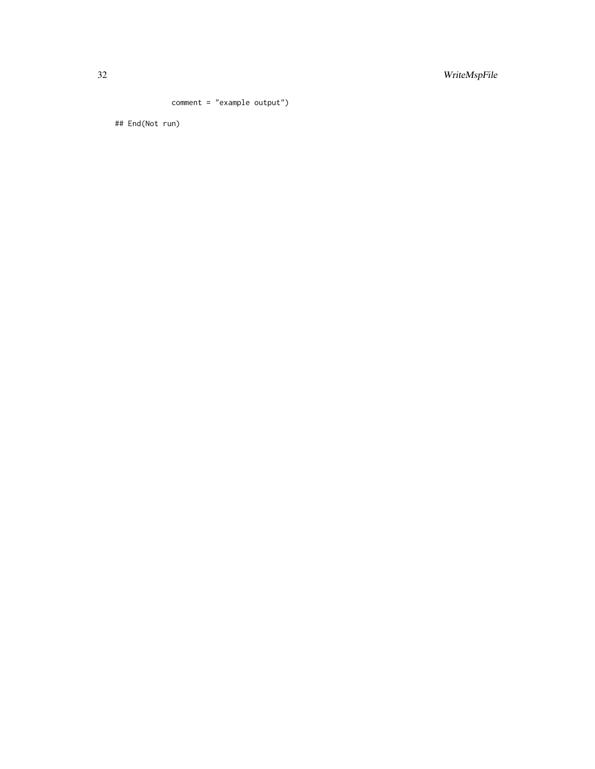comment = "example output")

## End(Not run)